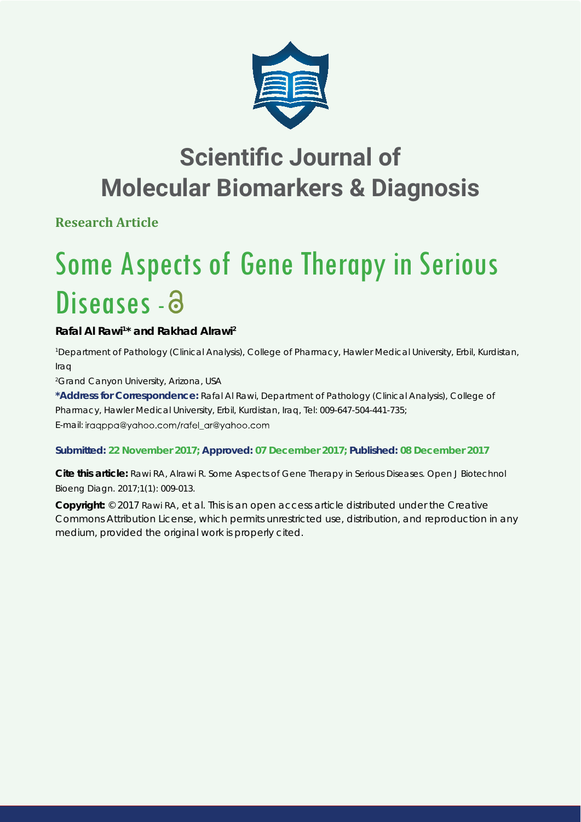

## **Scientific Journal of Molecular Biomarkers & Diagnosis**

**Research Article**

# Some Aspects of Gene Therapy in Serious Diseases - a

### **Rafal Al Rawi1 \* and Rakhad Alrawi2**

*1 Department of Pathology (Clinical Analysis), College of Pharmacy, Hawler Medical University, Erbil, Kurdistan, Iraq*

*2 Grand Canyon University, Arizona, USA*

**\*Address for Correspondence:** Rafal Al Rawi, Department of Pathology (Clinical Analysis), College of Pharmacy, Hawler Medical University, Erbil, Kurdistan, Iraq, Tel: 009-647-504-441-735; E-mail: iraqppa@yahoo.com/rafel\_ar@yahoo.com

#### **Submitted: 22 November 2017; Approved: 07 December 2017; Published: 08 December 2017**

**Cite this article:** Rawi RA, Alrawi R. Some Aspects of Gene Therapy in Serious Diseases. Open J Biotechnol Bioeng Diagn. 2017;1(1): 009-013.

**Copyright:** © 2017 Rawi RA, et al. This is an open access article distributed under the Creative Commons Attribution License, which permits unrestricted use, distribution, and reproduction in any medium, provided the original work is properly cited.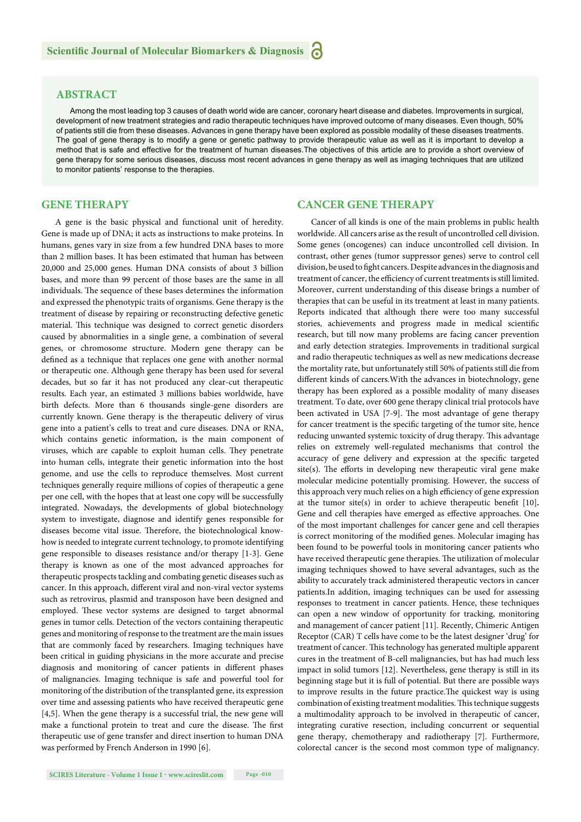#### **ABSTRACT**

Among the most leading top 3 causes of death world wide are cancer, coronary heart disease and diabetes. Improvements in surgical, development of new treatment strategies and radio therapeutic techniques have improved outcome of many diseases. Even though, 50% of patients still die from these diseases. Advances in gene therapy have been explored as possible modality of these diseases treatments. The goal of gene therapy is to modify a gene or genetic pathway to provide therapeutic value as well as it is important to develop a method that is safe and effective for the treatment of human diseases.The objectives of this article are to provide a short overview of gene therapy for some serious diseases, discuss most recent advances in gene therapy as well as imaging techniques that are utilized to monitor patients' response to the therapies.

#### **GENE THERAPY**

A gene is the basic physical and functional unit of heredity. Gene is made up of DNA; it acts as instructions to make proteins. In humans, genes vary in size from a few hundred DNA bases to more than 2 million bases. It has been estimated that human has between 20,000 and 25,000 genes. Human DNA consists of about 3 billion bases, and more than 99 percent of those bases are the same in all individuals. The sequence of these bases determines the information and expressed the phenotypic traits of organisms. Gene therapy is the treatment of disease by repairing or reconstructing defective genetic material. This technique was designed to correct genetic disorders caused by abnormalities in a single gene, a combination of several genes, or chromosome structure. Modern gene therapy can be defined as a technique that replaces one gene with another normal or therapeutic one. Although gene therapy has been used for several decades, but so far it has not produced any clear-cut therapeutic results. Each year, an estimated 3 millions babies worldwide, have birth defects. More than 6 thousands single-gene disorders are currently known. Gene therapy is the therapeutic delivery of virus gene into a patient's cells to treat and cure diseases. DNA or RNA, which contains genetic information, is the main component of viruses, which are capable to exploit human cells. They penetrate into human cells, integrate their genetic information into the host genome, and use the cells to reproduce themselves. Most current techniques generally require millions of copies of therapeutic a gene per one cell, with the hopes that at least one copy will be successfully integrated. Nowadays, the developments of global biotechnology system to investigate, diagnose and identify genes responsible for diseases become vital issue. Therefore, the biotechnological knowhow is needed to integrate current technology, to promote identifying gene responsible to diseases resistance and/or therapy [1-3]. Gene therapy is known as one of the most advanced approaches for therapeutic prospects tackling and combating genetic diseases such as cancer. In this approach, different viral and non-viral vector systems such as retrovirus, plasmid and transposon have been designed and employed. These vector systems are designed to target abnormal genes in tumor cells. Detection of the vectors containing therapeutic genes and monitoring of response to the treatment are the main issues that are commonly faced by researchers. Imaging techniques have been critical in guiding physicians in the more accurate and precise diagnosis and monitoring of cancer patients in different phases of malignancies. Imaging technique is safe and powerful tool for monitoring of the distribution of the transplanted gene, its expression over time and assessing patients who have received therapeutic gene [4,5]. When the gene therapy is a successful trial, the new gene will make a functional protein to treat and cure the disease. The first therapeutic use of gene transfer and direct insertion to human DNA was performed by French Anderson in 1990 [6].

#### **CANCER GENE THERAPY**

Cancer of all kinds is one of the main problems in public health worldwide. All cancers arise as the result of uncontrolled cell division. Some genes (oncogenes) can induce uncontrolled cell division. In contrast, other genes (tumor suppressor genes) serve to control cell division, be used to fight cancers. Despite advances in the diagnosis and treatment of cancer, the efficiency of current treatments is still limited. Moreover, current understanding of this disease brings a number of therapies that can be useful in its treatment at least in many patients. Reports indicated that although there were too many successful stories, achievements and progress made in medical scientific research, but till now many problems are facing cancer prevention and early detection strategies. Improvements in traditional surgical and radio therapeutic techniques as well as new medications decrease the mortality rate, but unfortunately still 50% of patients still die from different kinds of cancers. With the advances in biotechnology, gene therapy has been explored as a possible modality of many diseases treatment. To date, over 600 gene therapy clinical trial protocols have been activated in USA [7-9]. The most advantage of gene therapy for cancer treatment is the specific targeting of the tumor site, hence reducing unwanted systemic toxicity of drug therapy. This advantage relies on extremely well-regulated mechanisms that control the accuracy of gene delivery and expression at the specific targeted site(s). The efforts in developing new therapeutic viral gene make molecular medicine potentially promising. However, the success of this approach very much relies on a high efficiency of gene expression at the tumor site(s) in order to achieve therapeutic benefit  $[10]$ . Gene and cell therapies have emerged as effective approaches. One of the most important challenges for cancer gene and cell therapies is correct monitoring of the modified genes. Molecular imaging has been found to be powerful tools in monitoring cancer patients who have received therapeutic gene therapies. The utilization of molecular imaging techniques showed to have several advantages, such as the ability to accurately track administered therapeutic vectors in cancer patients.In addition, imaging techniques can be used for assessing responses to treatment in cancer patients. Hence, these techniques can open a new window of opportunity for tracking, monitoring and management of cancer patient [11]. Recently, Chimeric Antigen Receptor (CAR) T cells have come to be the latest designer 'drug' for treatment of cancer. This technology has generated multiple apparent cures in the treatment of B-cell malignancies, but has had much less impact in solid tumors [12]. Nevertheless, gene therapy is still in its beginning stage but it is full of potential. But there are possible ways to improve results in the future practice. The quickest way is using combination of existing treatment modalities. This technique suggests a multimodality approach to be involved in therapeutic of cancer, integrating curative resection, including concurrent or sequential gene therapy, chemotherapy and radiotherapy [7]. Furthermore, colorectal cancer is the second most common type of malignancy.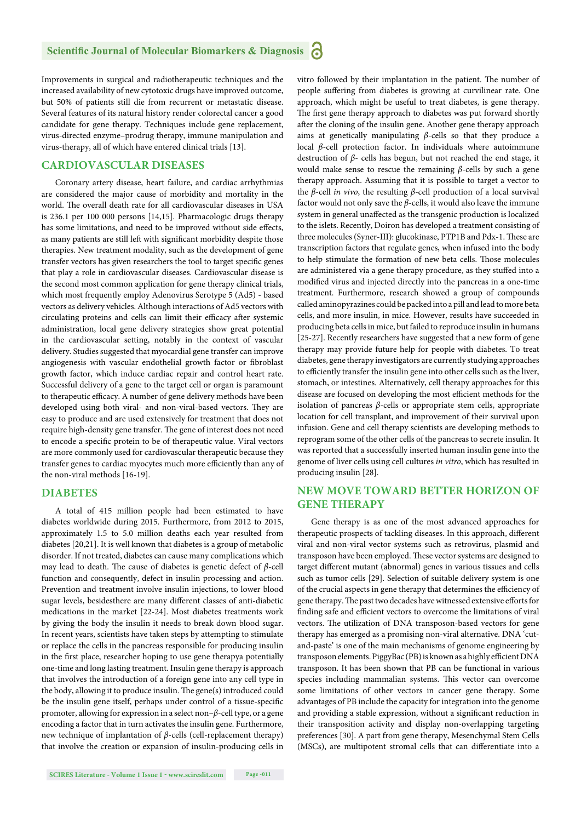Improvements in surgical and radiotherapeutic techniques and the increased availability of new cytotoxic drugs have improved outcome, but 50% of patients still die from recurrent or metastatic disease. Several features of its natural history render colorectal cancer a good candidate for gene therapy. Techniques include gene replacement, virus-directed enzyme–prodrug therapy, immune manipulation and virus-therapy, all of which have entered clinical trials [13].

#### **CARDIOVASCULAR DISEASES**

Coronary artery disease, heart failure, and cardiac arrhythmias are considered the major cause of morbidity and mortality in the world. The overall death rate for all cardiovascular diseases in USA is 236.1 per 100 000 persons [14,15]. Pharmacologic drugs therapy has some limitations, and need to be improved without side effects, as many patients are still left with significant morbidity despite those therapies. New treatment modality, such as the development of gene transfer vectors has given researchers the tool to target specific genes that play a role in cardiovascular diseases. Cardiovascular disease is the second most common application for gene therapy clinical trials, which most frequently employ Adenovirus Serotype 5 (Ad5) - based vectors as delivery vehicles. Although interactions of Ad5 vectors with circulating proteins and cells can limit their efficacy after systemic administration, local gene delivery strategies show great potential in the cardiovascular setting, notably in the context of vascular delivery. Studies suggested that myocardial gene transfer can improve angiogenesis with vascular endothelial growth factor or fibroblast growth factor, which induce cardiac repair and control heart rate. Successful delivery of a gene to the target cell or organ is paramount to therapeutic efficacy. A number of gene delivery methods have been developed using both viral- and non-viral-based vectors. They are easy to produce and are used extensively for treatment that does not require high-density gene transfer. The gene of interest does not need to encode a specific protein to be of therapeutic value. Viral vectors are more commonly used for cardiovascular therapeutic because they transfer genes to cardiac myocytes much more efficiently than any of the non-viral methods [16-19].

#### **DIABETES**

A total of 415 million people had been estimated to have diabetes worldwide during 2015. Furthermore, from 2012 to 2015, approximately 1.5 to 5.0 million deaths each year resulted from diabetes [20,21]. It is well known that diabetes is a group of metabolic disorder. If not treated, diabetes can cause many complications which may lead to death. The cause of diabetes is genetic defect of *β*-cell function and consequently, defect in insulin processing and action. Prevention and treatment involve insulin injections, to lower blood sugar levels, besidesthere are many different classes of anti-diabetic medications in the market [22-24]. Most diabetes treatments work by giving the body the insulin it needs to break down blood sugar. In recent years, scientists have taken steps by attempting to stimulate or replace the cells in the pancreas responsible for producing insulin in the first place, researcher hoping to use gene therapya potentially one-time and long lasting treatment. Insulin gene therapy is approach that involves the introduction of a foreign gene into any cell type in the body, allowing it to produce insulin. The gene(s) introduced could be the insulin gene itself, perhaps under control of a tissue-specific promoter, allowing for expression in a select non–*β*-cell type, or a gene encoding a factor that in turn activates the insulin gene. Furthermore, new technique of implantation of *β*-cells (cell-replacement therapy) that involve the creation or expansion of insulin-producing cells in vitro followed by their implantation in the patient. The number of people suffering from diabetes is growing at curvilinear rate. One approach, which might be useful to treat diabetes, is gene therapy. The first gene therapy approach to diabetes was put forward shortly after the cloning of the insulin gene. Another gene therapy approach aims at genetically manipulating *β*-cells so that they produce a local *β*-cell protection factor. In individuals where autoimmune destruction of *β*- cells has begun, but not reached the end stage, it would make sense to rescue the remaining *β*-cells by such a gene therapy approach. Assuming that it is possible to target a vector to the *β*-cell *in vivo*, the resulting *β*-cell production of a local survival factor would not only save the *β*-cells, it would also leave the immune system in general unaffected as the transgenic production is localized to the islets. Recently, Doiron has developed a treatment consisting of three molecules (Syner-III): glucokinase, PTP1B and Pdx-1. These are transcription factors that regulate genes, when infused into the body to help stimulate the formation of new beta cells. Those molecules are administered via a gene therapy procedure, as they stuffed into a modified virus and injected directly into the pancreas in a one-time treatment. Furthermore, research showed a group of compounds called aminopyrazines could be packed into a pill and lead to more beta cells, and more insulin, in mice. However, results have succeeded in producing beta cells in mice, but failed to reproduce insulin in humans [25-27]. Recently researchers have suggested that a new form of gene therapy may provide future help for people with diabetes. To treat diabetes, gene therapy investigators are currently studying approaches to efficiently transfer the insulin gene into other cells such as the liver, stomach, or intestines. Alternatively, cell therapy approaches for this disease are focused on developing the most efficient methods for the isolation of pancreas  $β$ -cells or appropriate stem cells, appropriate location for cell transplant, and improvement of their survival upon infusion. Gene and cell therapy scientists are developing methods to reprogram some of the other cells of the pancreas to secrete insulin. It was reported that a successfully inserted human insulin gene into the genome of liver cells using cell cultures *in vitro*, which has resulted in producing insulin [28].

#### **NEW MOVE TOWARD BETTER HORIZON OF GENE THERAPY**

Gene therapy is as one of the most advanced approaches for therapeutic prospects of tackling diseases. In this approach, different viral and non-viral vector systems such as retrovirus, plasmid and transposon have been employed. These vector systems are designed to target different mutant (abnormal) genes in various tissues and cells such as tumor cells [29]. Selection of suitable delivery system is one of the crucial aspects in gene therapy that determines the efficiency of gene therapy. The past two decades have witnessed extensive efforts for finding safe and efficient vectors to overcome the limitations of viral vectors. The utilization of DNA transposon-based vectors for gene therapy has emerged as a promising non-viral alternative. DNA 'cutand-paste' is one of the main mechanisms of genome engineering by transposon elements. PiggyBac (PB) is known as a highly efficient DNA transposon. It has been shown that PB can be functional in various species including mammalian systems. This vector can overcome some limitations of other vectors in cancer gene therapy. Some advantages of PB include the capacity for integration into the genome and providing a stable expression, without a significant reduction in their transposition activity and display non-overlapping targeting preferences [30]. A part from gene therapy, Mesenchymal Stem Cells (MSCs), are multipotent stromal cells that can differentiate into a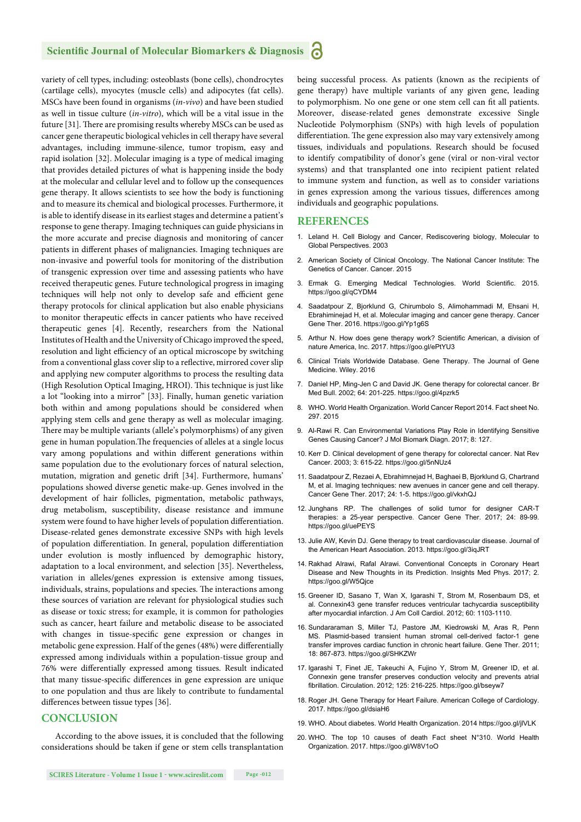#### **Scientific Journal of Molecular Biomarkers & Diagnosis**

variety of cell types, including: osteoblasts (bone cells), chondrocytes (cartilage cells), myocytes (muscle cells) and adipocytes (fat cells). MSCs have been found in organisms (*in-vivo*) and have been studied as well in tissue culture (*in-vitro*), which will be a vital issue in the future [31]. There are promising results whereby MSCs can be used as cancer gene therapeutic biological vehicles in cell therapy have several advantages, including immune-silence, tumor tropism, easy and rapid isolation [32]. Molecular imaging is a type of medical imaging that provides detailed pictures of what is happening inside the body at the molecular and cellular level and to follow up the consequences gene therapy. It allows scientists to see how the body is functioning and to measure its chemical and biological processes. Furthermore, it is able to identify disease in its earliest stages and determine a patient's response to gene therapy. Imaging techniques can guide physicians in the more accurate and precise diagnosis and monitoring of cancer patients in different phases of malignancies. Imaging techniques are non-invasive and powerful tools for monitoring of the distribution of transgenic expression over time and assessing patients who have received therapeutic genes. Future technological progress in imaging techniques will help not only to develop safe and efficient gene therapy protocols for clinical application but also enable physicians to monitor therapeutic effects in cancer patients who have received therapeutic genes [4]. Recently, researchers from the National Institutes of Health and the University of Chicago improved the speed, resolution and light efficiency of an optical microscope by switching from a conventional glass cover slip to a reflective, mirrored cover slip and applying new computer algorithms to process the resulting data (High Resolution Optical Imaging, HROI). This technique is just like a lot "looking into a mirror" [33]. Finally, human genetic variation both within and among populations should be considered when applying stem cells and gene therapy as well as molecular imaging. There may be multiple variants (allele's polymorphisms) of any given gene in human population. The frequencies of alleles at a single locus vary among populations and within different generations within same population due to the evolutionary forces of natural selection, mutation, migration and genetic drift [34]. Furthermore, humans' populations showed diverse genetic make-up. Genes involved in the development of hair follicles, pigmentation, metabolic pathways, drug metabolism, susceptibility, disease resistance and immune system were found to have higher levels of population differentiation. Disease-related genes demonstrate excessive SNPs with high levels of population differentiation. In general, population differentiation under evolution is mostly influenced by demographic history, adaptation to a local environment, and selection [35]. Nevertheless, variation in alleles/genes expression is extensive among tissues, individuals, strains, populations and species. The interactions among these sources of variation are relevant for physiological studies such as disease or toxic stress; for example, it is common for pathologies such as cancer, heart failure and metabolic disease to be associated with changes in tissue-specific gene expression or changes in metabolic gene expression. Half of the genes (48%) were differentially expressed among individuals within a population-tissue group and 76% were differentially expressed among tissues. Result indicated that many tissue-specific differences in gene expression are unique to one population and thus are likely to contribute to fundamental differences between tissue types [36].

#### **CONCLUSION**

According to the above issues, it is concluded that the following considerations should be taken if gene or stem cells transplantation being successful process. As patients (known as the recipients of gene therapy) have multiple variants of any given gene, leading to polymorphism. No one gene or one stem cell can fit all patients. Moreover, disease-related genes demonstrate excessive Single Nucleotide Polymorphism (SNPs) with high levels of population differentiation. The gene expression also may vary extensively among tissues, individuals and populations. Research should be focused to identify compatibility of donor's gene (viral or non-viral vector systems) and that transplanted one into recipient patient related to immune system and function, as well as to consider variations in genes expression among the various tissues, differences among individuals and geographic populations.

#### **REFERENCES**

- 1. Leland H. Cell Biology and Cancer, Rediscovering biology, Molecular to Global Perspectives. 2003
- 2. American Society of Clinical Oncology. The National Cancer Institute: The Genetics of Cancer. Cancer. 2015
- 3. Ermak G. Emerging Medical Technologies. World Scientific. 2015. https://goo.gl/qCYDM4
- 4. Saadatpour Z, Bjorklund G, Chirumbolo S, Alimohammadi M, Ehsani H, Ebrahiminejad H, et al. Molecular imaging and cancer gene therapy. Cancer Gene Ther. 2016. https://goo.gl/Yp1g6S
- 5. Arthur N. How does gene therapy work? Scientific American, a division of nature America, Inc. 2017. https://goo.gl/ePtYU3
- 6. Clinical Trials Worldwide Database. Gene Therapy. The Journal of Gene Medicine. Wiley. 2016
- 7. Daniel HP, Ming-Jen C and David JK. Gene therapy for colorectal cancer. Br Med Bull. 2002; 64: 201-225. https://goo.gl/4pzrk5
- 8. WHO. World Health Organization. World Cancer Report 2014. Fact sheet No. 297. 2015
- 9. Al-Rawi R. Can Environmental Variations Play Role in Identifying Sensitive Genes Causing Cancer? J Mol Biomark Diagn. 2017; 8: 127.
- 10. Kerr D. Clinical development of gene therapy for colorectal cancer. Nat Rev Cancer. 2003; 3: 615-22. https://goo.gl/5nNUz4
- 11. Saadatpour Z, Rezaei A, Ebrahimnejad H, Baghaei B, Bjorklund G, Chartrand M, et al. Imaging techniques: new avenues in cancer gene and cell therapy. Cancer Gene Ther. 2017; 24: 1-5. https://goo.gl/vkxhQJ
- 12. Junghans RP. The challenges of solid tumor for designer CAR-T therapies: a 25-year perspective. Cancer Gene Ther. 2017; 24: 89-99. https://goo.gl/uePEYS
- 13. Julie AW, Kevin DJ. Gene therapy to treat cardiovascular disease. Journal of the American Heart Association. 2013. https://goo.gl/3iqJRT
- 14. Rakhad Alrawi, Rafal Alrawi. Conventional Concepts in Coronary Heart Disease and New Thoughts in its Prediction. Insights Med Phys. 2017; 2. https://goo.gl/W5Qjce
- 15. Greener ID, Sasano T, Wan X, Igarashi T, Strom M, Rosenbaum DS, et al. Connexin43 gene transfer reduces ventricular tachycardia susceptibility after myocardial infarction. J Am Coll Cardiol. 2012; 60: 1103-1110.
- 16. Sundararaman S, Miller TJ, Pastore JM, Kiedrowski M, Aras R, Penn MS. Plasmid-based transient human stromal cell-derived factor-1 gene transfer improves cardiac function in chronic heart failure. Gene Ther. 2011; 18: 867-873. https://goo.gl/SHKZWr
- 17. Igarashi T, Finet JE, Takeuchi A, Fujino Y, Strom M, Greener ID, et al. Connexin gene transfer preserves conduction velocity and prevents atrial fibrillation. Circulation. 2012; 125: 216-225. https://goo.gl/bseyw7
- 18. Roger JH. Gene Therapy for Heart Failure. American College of Cardiology. 2017. https://goo.gl/dsiaH6
- 19. WHO. About diabetes. World Health Organization. 2014 https://goo.gl/jlVLK
- 20. WHO. The top 10 causes of death Fact sheet N°310. World Health Organization. 2017. https://goo.gl/W8V1oO